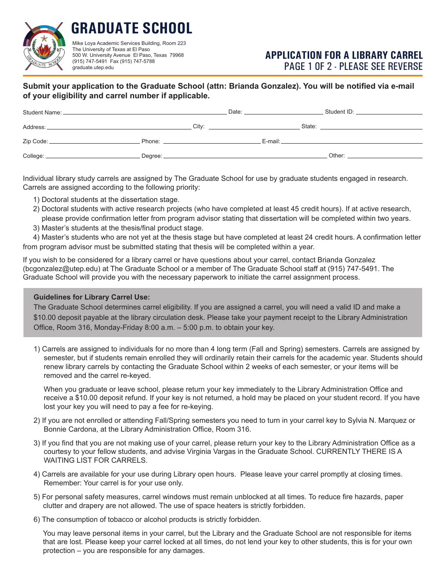

**GRADUATE SCHOOL** Mike Loya Academic Services Building, Room 223 The University of Texas at El Paso 500 W. University Avenue El Paso, Texas 79968

(915) 747-5491 Fax (915) 747-5788

graduate.utep.edu

## **APPLICATION FOR A LIBRARY CARREL** PAGE 1 0F 2 - PLEASE SEE REVERSE

## **Submit your application to the Graduate School (attn: Brianda Gonzalez). You will be notified via e-mail of your eligibility and carrel number if applicable.**

|            |                                                                                                                                                                                                                                | Date:                                                                                                                                                                                                                          | Student ID: _______________________                                                                                                                                                                                            |
|------------|--------------------------------------------------------------------------------------------------------------------------------------------------------------------------------------------------------------------------------|--------------------------------------------------------------------------------------------------------------------------------------------------------------------------------------------------------------------------------|--------------------------------------------------------------------------------------------------------------------------------------------------------------------------------------------------------------------------------|
|            |                                                                                                                                                                                                                                | City: the contract of the contract of the contract of the contract of the contract of the contract of the contract of the contract of the contract of the contract of the contract of the contract of the contract of the cont | State: The State of the State of the State of the State of the State of the State of the State of the State of the State of the State of the State of the State of the State of the State of the State of the State of the Sta |
|            | Phone: National Assembly and the second service of the service of the service of the service of the service of the service of the service of the service of the service of the service of the service of the service of the se |                                                                                                                                                                                                                                |                                                                                                                                                                                                                                |
| College: _ |                                                                                                                                                                                                                                |                                                                                                                                                                                                                                | Other: the contract of the contract of the contract of the contract of the contract of the contract of the contract of the contract of the contract of the contract of the contract of the contract of the contract of the con |

Individual library study carrels are assigned by The Graduate School for use by graduate students engaged in research. Carrels are assigned according to the following priority:

- 1) Doctoral students at the dissertation stage.
- 2) Doctoral students with active research projects (who have completed at least 45 credit hours). If at active research, please provide confirmation letter from program advisor stating that dissertation will be completed within two years.
- 3) Master's students at the thesis/final product stage.

4) Master's students who are not yet at the thesis stage but have completed at least 24 credit hours. A confirmation letter from program advisor must be submitted stating that thesis will be completed within a year.

If you wish to be considered for a library carrel or have questions about your carrel, contact Brianda Gonzalez (bcgonzalez@utep.edu) at The Graduate School or a member of The Graduate School staff at (915) 747-5491. The Graduate School will provide you with the necessary paperwork to initiate the carrel assignment process.

## **Guidelines for Library Carrel Use:**

The Graduate School determines carrel eligibility. If you are assigned a carrel, you will need a valid ID and make a \$10.00 deposit payable at the library circulation desk. Please take your payment receipt to the Library Administration Office, Room 316, Monday-Friday 8:00 a.m. – 5:00 p.m. to obtain your key.

1) Carrels are assigned to individuals for no more than 4 long term (Fall and Spring) semesters. Carrels are assigned by semester, but if students remain enrolled they will ordinarily retain their carrels for the academic year. Students should renew library carrels by contacting the Graduate School within 2 weeks of each semester, or your items will be removed and the carrel re-keyed.

When you graduate or leave school, please return your key immediately to the Library Administration Office and receive a \$10.00 deposit refund. If your key is not returned, a hold may be placed on your student record. If you have lost your key you will need to pay a fee for re-keying.

- 2) If you are not enrolled or attending Fall/Spring semesters you need to turn in your carrel key to Sylvia N. Marquez or Bonnie Cardona, at the Library Administration Office, Room 316.
- 3) If you find that you are not making use of your carrel, please return your key to the Library Administration Office as a courtesy to your fellow students, and advise Virginia Vargas in the Graduate School. CURRENTLY THERE IS A WAITING LIST FOR CARRELS.
- 4) Carrels are available for your use during Library open hours. Please leave your carrel promptly at closing times. Remember: Your carrel is for your use only.
- 5) For personal safety measures, carrel windows must remain unblocked at all times. To reduce fire hazards, paper clutter and drapery are not allowed. The use of space heaters is strictly forbidden.
- 6) The consumption of tobacco or alcohol products is strictly forbidden.

You may leave personal items in your carrel, but the Library and the Graduate School are not responsible for items that are lost. Please keep your carrel locked at all times, do not lend your key to other students, this is for your own protection – you are responsible for any damages.